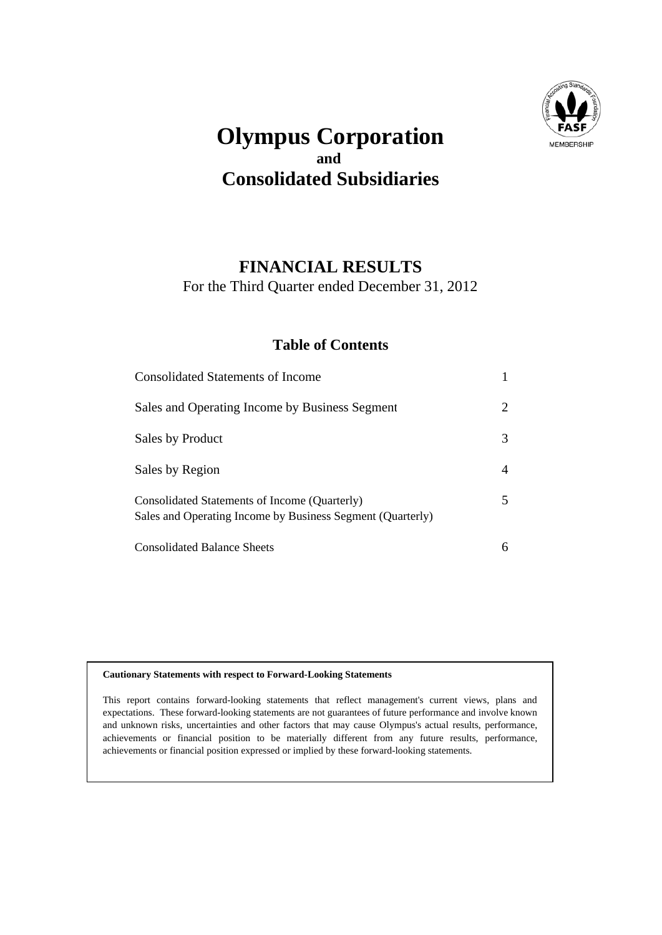

## **Olympus Corporation and Consolidated Subsidiaries**

### **FINANCIAL RESULTS**

For the Third Quarter ended December 31, 2012

#### **Table of Contents**

| <b>Consolidated Statements of Income</b>                                                                    |   |
|-------------------------------------------------------------------------------------------------------------|---|
| Sales and Operating Income by Business Segment                                                              | 2 |
| Sales by Product                                                                                            | 3 |
| Sales by Region                                                                                             | 4 |
| Consolidated Statements of Income (Quarterly)<br>Sales and Operating Income by Business Segment (Quarterly) | 5 |
| <b>Consolidated Balance Sheets</b>                                                                          |   |

#### **Cautionary Statements with respect to Forward-Looking Statements**

This report contains forward-looking statements that reflect management's current views, plans and expectations. These forward-looking statements are not guarantees of future performance and involve known and unknown risks, uncertainties and other factors that may cause Olympus's actual results, performance, achievements or financial position to be materially different from any future results, performance, achievements or financial position expressed or implied by these forward-looking statements.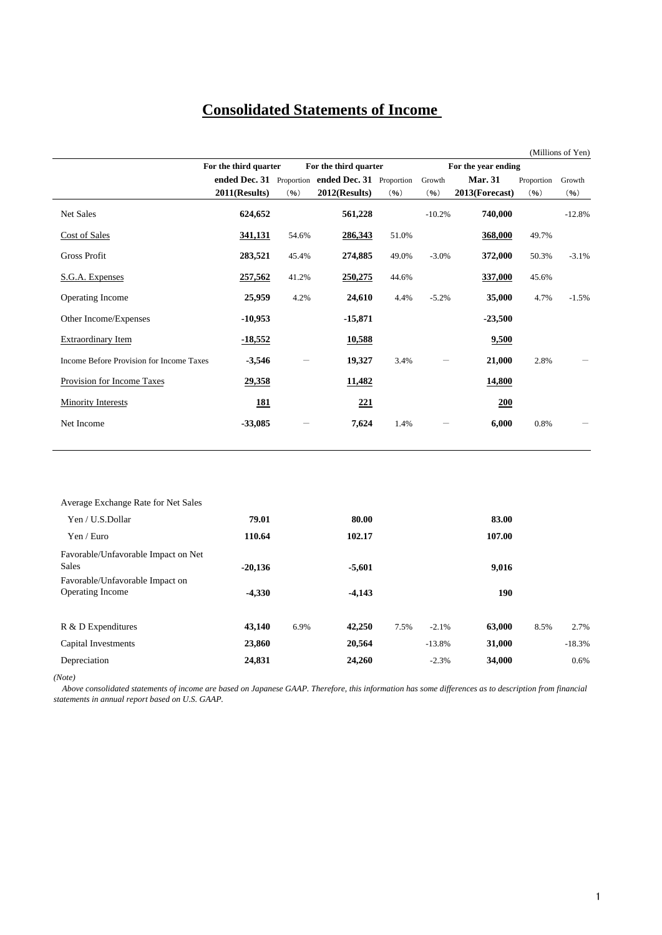### **Consolidated Statements of Income**

|                                          |                       |       |                                                   |       |                     |                |            | (Millions of Yen) |
|------------------------------------------|-----------------------|-------|---------------------------------------------------|-------|---------------------|----------------|------------|-------------------|
|                                          | For the third quarter |       | For the third quarter                             |       | For the year ending |                |            |                   |
|                                          |                       |       | ended Dec. 31 Proportion ended Dec. 31 Proportion |       | Growth              | <b>Mar. 31</b> | Proportion | Growth            |
|                                          | 2011(Results)         | (96)  | $2012$ (Results)                                  | (96)  | (96)                | 2013(Forecast) | (96)       | (96)              |
| Net Sales                                | 624,652               |       | 561,228                                           |       | $-10.2%$            | 740,000        |            | $-12.8%$          |
| Cost of Sales                            | 341,131               | 54.6% | 286,343                                           | 51.0% |                     | 368,000        | 49.7%      |                   |
| <b>Gross Profit</b>                      | 283,521               | 45.4% | 274,885                                           | 49.0% | $-3.0%$             | 372,000        | 50.3%      | $-3.1%$           |
| S.G.A. Expenses                          | 257,562               | 41.2% | 250,275                                           | 44.6% |                     | 337,000        | 45.6%      |                   |
| Operating Income                         | 25,959                | 4.2%  | 24,610                                            | 4.4%  | $-5.2%$             | 35,000         | 4.7%       | $-1.5%$           |
| Other Income/Expenses                    | $-10,953$             |       | $-15,871$                                         |       |                     | $-23,500$      |            |                   |
| <b>Extraordinary Item</b>                | $-18,552$             |       | 10,588                                            |       |                     | 9,500          |            |                   |
| Income Before Provision for Income Taxes | $-3,546$              | —     | 19,327                                            | 3.4%  |                     | 21,000         | 2.8%       |                   |
| Provision for Income Taxes               | 29,358                |       | 11,482                                            |       |                     | <b>14,800</b>  |            |                   |
| Minority Interests                       | <u>181</u>            |       | 221                                               |       |                     | 200            |            |                   |
| Net Income                               | $-33,085$             |       | 7,624                                             | 1.4%  |                     | 6,000          | 0.8%       |                   |
|                                          |                       |       |                                                   |       |                     |                |            |                   |

| Average Exchange Rate for Net Sales |           |      |          |                 |        |      |          |
|-------------------------------------|-----------|------|----------|-----------------|--------|------|----------|
| Yen / U.S.Dollar                    | 79.01     |      | 80.00    |                 | 83.00  |      |          |
| Yen / Euro                          | 110.64    |      | 102.17   |                 | 107.00 |      |          |
| Favorable/Unfavorable Impact on Net |           |      |          |                 |        |      |          |
| <b>Sales</b>                        | $-20,136$ |      | $-5,601$ |                 | 9,016  |      |          |
| Favorable/Unfavorable Impact on     |           |      |          |                 |        |      |          |
| <b>Operating Income</b>             | $-4,330$  |      | $-4,143$ |                 | 190    |      |          |
| R & D Expenditures                  | 43,140    | 6.9% | 42,250   | 7.5%<br>$-2.1%$ | 63,000 | 8.5% | 2.7%     |
| Capital Investments                 | 23,860    |      | 20,564   | $-13.8%$        | 31,000 |      | $-18.3%$ |
| Depreciation                        | 24,831    |      | 24,260   | $-2.3%$         | 34,000 |      | 0.6%     |
|                                     |           |      |          |                 |        |      |          |

*(Note)*

 *Above consolidated statements of income are based on Japanese GAAP. Therefore, this information has some differences as to description from financial statements in annual report based on U.S. GAAP.*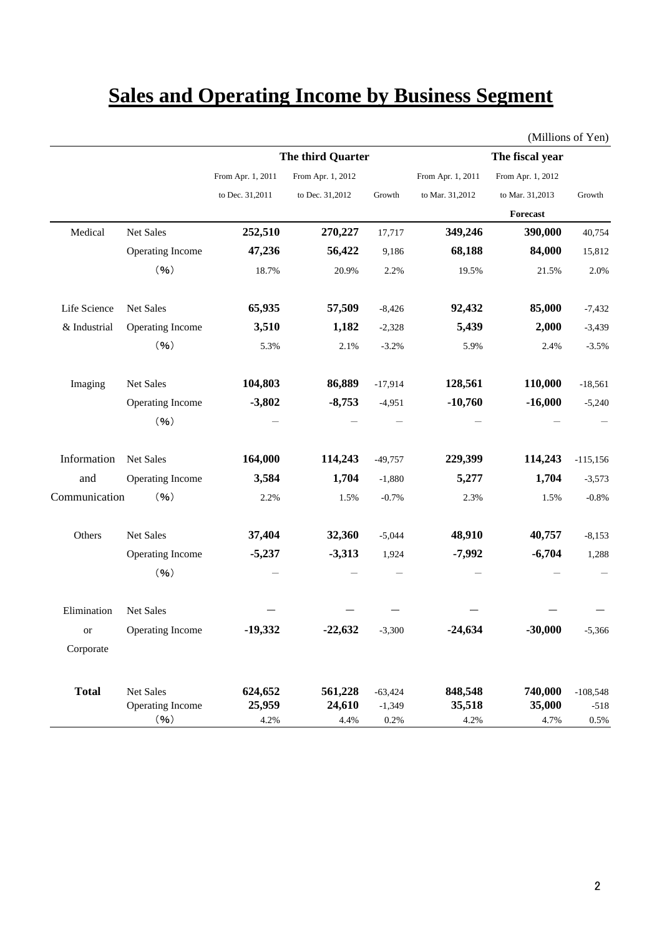# **Sales and Operating Income by Business Segment**

|               |                         |                   | The third Quarter |           |                   | The fiscal year   |            |
|---------------|-------------------------|-------------------|-------------------|-----------|-------------------|-------------------|------------|
|               |                         | From Apr. 1, 2011 | From Apr. 1, 2012 |           | From Apr. 1, 2011 | From Apr. 1, 2012 |            |
|               |                         | to Dec. 31,2011   | to Dec. 31,2012   | Growth    | to Mar. 31,2012   | to Mar. 31,2013   | Growth     |
|               |                         |                   |                   |           |                   | Forecast          |            |
| Medical       | Net Sales               | 252,510           | 270,227           | 17,717    | 349,246           | 390,000           | 40,754     |
|               | <b>Operating Income</b> | 47,236            | 56,422            | 9,186     | 68,188            | 84,000            | 15,812     |
|               | (96)                    | 18.7%             | 20.9%             | 2.2%      | 19.5%             | 21.5%             | 2.0%       |
| Life Science  | Net Sales               | 65,935            | 57,509            | $-8,426$  | 92,432            | 85,000            | $-7,432$   |
| & Industrial  | Operating Income        | 3,510             | 1,182             | $-2,328$  | 5,439             | 2,000             | $-3,439$   |
|               | (96)                    | 5.3%              | 2.1%              | $-3.2%$   | 5.9%              | 2.4%              | $-3.5%$    |
| Imaging       | Net Sales               | 104,803           | 86,889            | $-17,914$ | 128,561           | 110,000           | $-18,561$  |
|               | <b>Operating Income</b> | $-3,802$          | $-8,753$          | $-4,951$  | $-10,760$         | $-16,000$         | $-5,240$   |
|               | (96)                    |                   |                   |           |                   |                   |            |
| Information   | Net Sales               | 164,000           | 114,243           | $-49,757$ | 229,399           | 114,243           | $-115,156$ |
| and           | <b>Operating Income</b> | 3,584             | 1,704             | $-1,880$  | 5,277             | 1,704             | $-3,573$   |
| Communication | (96)                    | 2.2%              | 1.5%              | $-0.7%$   | 2.3%              | 1.5%              | $-0.8%$    |
| Others        | Net Sales               | 37,404            | 32,360            | $-5,044$  | 48,910            | 40,757            | $-8,153$   |
|               | <b>Operating Income</b> | $-5,237$          | $-3,313$          | 1,924     | $-7,992$          | $-6,704$          | 1,288      |
|               | (96)                    |                   |                   |           |                   |                   |            |
| Elimination   | Net Sales               |                   |                   |           |                   |                   |            |
| <b>or</b>     | <b>Operating Income</b> | $-19,332$         | $-22,632$         | $-3,300$  | $-24,634$         | $-30,000$         | $-5,366$   |
| Corporate     |                         |                   |                   |           |                   |                   |            |
| <b>Total</b>  | Net Sales               | 624,652           | 561,228           | $-63,424$ | 848,548           | 740,000           | $-108,548$ |
|               | Operating Income        | 25,959            | 24,610            | $-1,349$  | 35,518            | 35,000            | $-518$     |
|               | (96)                    | 4.2%              | 4.4%              | 0.2%      | 4.2%              | 4.7%              | 0.5%       |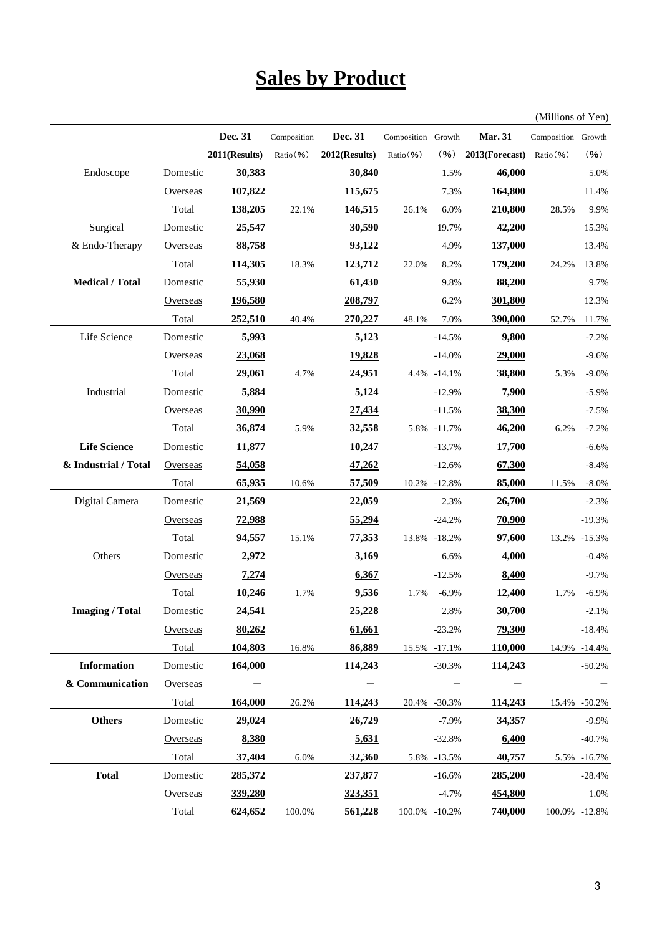## **Sales by Product**

(Millions of Yen)

|                        |          | Dec. 31       | Composition | Dec. 31       | Composition Growth |              | <b>Mar. 31</b> | Composition Growth |               |
|------------------------|----------|---------------|-------------|---------------|--------------------|--------------|----------------|--------------------|---------------|
|                        |          | 2011(Results) | Ratio (%)   | 2012(Results) | Ratio (%)          | (96)         | 2013(Forecast) | Ratio(%)           | (96)          |
| Endoscope              | Domestic | 30,383        |             | 30,840        |                    | 1.5%         | 46,000         |                    | 5.0%          |
|                        | Overseas | 107,822       |             | 115,675       |                    | 7.3%         | 164,800        |                    | 11.4%         |
|                        | Total    | 138,205       | 22.1%       | 146,515       | 26.1%              | 6.0%         | 210,800        | 28.5%              | 9.9%          |
| Surgical               | Domestic | 25,547        |             | 30,590        |                    | 19.7%        | 42,200         |                    | 15.3%         |
| & Endo-Therapy         | Overseas | 88,758        |             | 93,122        |                    | 4.9%         | 137,000        |                    | 13.4%         |
|                        | Total    | 114,305       | 18.3%       | 123,712       | 22.0%              | 8.2%         | 179,200        | 24.2%              | 13.8%         |
| <b>Medical / Total</b> | Domestic | 55,930        |             | 61,430        |                    | 9.8%         | 88,200         |                    | 9.7%          |
|                        | Overseas | 196,580       |             | 208,797       |                    | 6.2%         | 301,800        |                    | 12.3%         |
|                        | Total    | 252,510       | 40.4%       | 270,227       | 48.1%              | 7.0%         | 390,000        | 52.7%              | 11.7%         |
| Life Science           | Domestic | 5,993         |             | 5,123         |                    | $-14.5%$     | 9,800          |                    | $-7.2%$       |
|                        | Overseas | 23,068        |             | 19,828        |                    | $-14.0%$     | 29,000         |                    | $-9.6%$       |
|                        | Total    | 29,061        | 4.7%        | 24,951        |                    | 4.4% -14.1%  | 38,800         | 5.3%               | $-9.0%$       |
| Industrial             | Domestic | 5,884         |             | 5,124         |                    | $-12.9%$     | 7,900          |                    | $-5.9%$       |
|                        | Overseas | 30,990        |             | 27,434        |                    | $-11.5%$     | 38,300         |                    | $-7.5%$       |
|                        | Total    | 36,874        | 5.9%        | 32,558        |                    | 5.8% -11.7%  | 46,200         | 6.2%               | $-7.2%$       |
| <b>Life Science</b>    | Domestic | 11,877        |             | 10,247        |                    | $-13.7%$     | 17,700         |                    | $-6.6%$       |
| & Industrial / Total   | Overseas | 54,058        |             | 47,262        |                    | $-12.6%$     | 67,300         |                    | $-8.4%$       |
|                        | Total    | 65,935        | 10.6%       | 57,509        |                    | 10.2% -12.8% | 85,000         | 11.5%              | $-8.0\%$      |
| Digital Camera         | Domestic | 21,569        |             | 22,059        |                    | 2.3%         | 26,700         |                    | $-2.3%$       |
|                        | Overseas | 72,988        |             | 55,294        |                    | $-24.2%$     | 70,900         |                    | $-19.3%$      |
|                        | Total    | 94,557        | 15.1%       | 77,353        |                    | 13.8% -18.2% | 97,600         |                    | 13.2% -15.3%  |
| Others                 | Domestic | 2,972         |             | 3,169         |                    | 6.6%         | 4,000          |                    | $-0.4%$       |
|                        | Overseas | 7,274         |             | 6,367         |                    | $-12.5%$     | 8,400          |                    | $-9.7%$       |
|                        | Total    | 10,246        | 1.7%        | 9,536         | 1.7%               | $-6.9%$      | 12,400         | 1.7%               | $-6.9%$       |
| <b>Imaging / Total</b> | Domestic | 24,541        |             | 25,228        |                    | 2.8%         | 30,700         |                    | $-2.1%$       |
|                        | Overseas | 80,262        |             | 61,661        |                    | $-23.2%$     | 79,300         |                    | $-18.4%$      |
|                        | Total    | 104,803       | 16.8%       | 86,889        |                    | 15.5% -17.1% | 110,000        |                    | 14.9% -14.4%  |
| <b>Information</b>     | Domestic | 164,000       |             | 114,243       |                    | $-30.3%$     | 114,243        |                    | $-50.2%$      |
| & Communication        | Overseas |               |             |               |                    |              |                |                    |               |
|                        | Total    | 164,000       | 26.2%       | 114,243       |                    | 20.4% -30.3% | 114,243        | 15.4%              | $-50.2%$      |
| <b>Others</b>          | Domestic | 29,024        |             | 26,729        |                    | $-7.9%$      | 34,357         |                    | $-9.9%$       |
|                        | Overseas | 8,380         |             | 5,631         |                    | $-32.8%$     | 6,400          |                    | $-40.7%$      |
|                        | Total    | 37,404        | 6.0%        | 32,360        |                    | 5.8% -13.5%  | 40,757         | 5.5%               | $-16.7%$      |
| <b>Total</b>           | Domestic | 285,372       |             | 237,877       |                    | $-16.6%$     | 285,200        |                    | $-28.4%$      |
|                        | Overseas | 339,280       |             | 323,351       |                    | $-4.7%$      | 454,800        |                    | 1.0%          |
|                        | Total    | 624,652       | 100.0%      | 561,228       | 100.0% -10.2%      |              | 740,000        |                    | 100.0% -12.8% |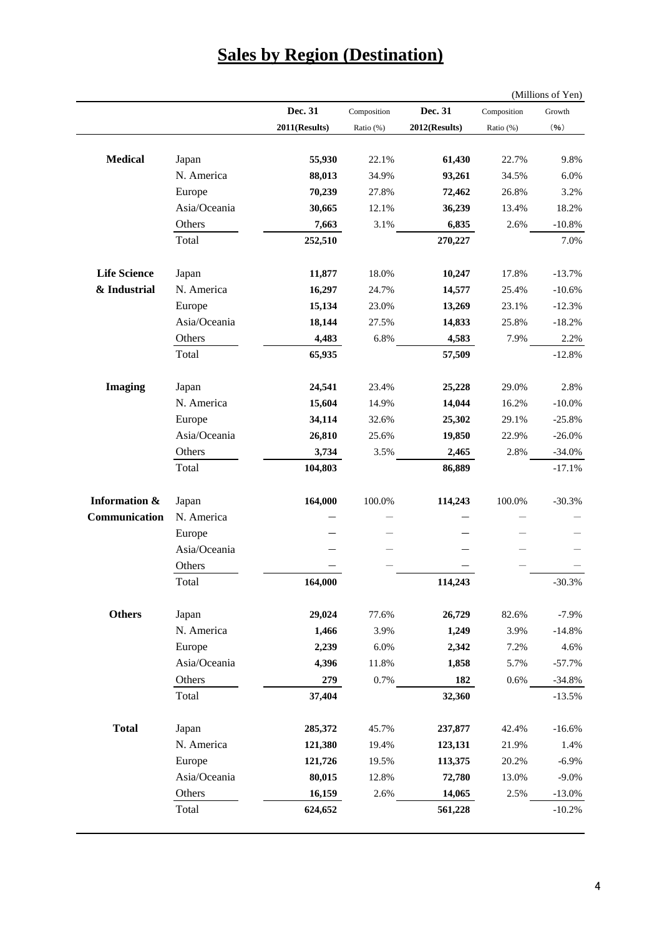|                     |              |               |             |               |             | (Millions of Yen) |
|---------------------|--------------|---------------|-------------|---------------|-------------|-------------------|
|                     |              | Dec. 31       | Composition | Dec. 31       | Composition | Growth            |
|                     |              | 2011(Results) | Ratio (%)   | 2012(Results) | Ratio (%)   | (96)              |
| <b>Medical</b>      | Japan        | 55,930        | 22.1%       | 61,430        | 22.7%       | 9.8%              |
|                     | N. America   | 88,013        | 34.9%       | 93,261        | 34.5%       | 6.0%              |
|                     | Europe       | 70,239        | 27.8%       | 72,462        | 26.8%       | 3.2%              |
|                     | Asia/Oceania | 30,665        | 12.1%       | 36,239        | 13.4%       | 18.2%             |
|                     | Others       | 7,663         | 3.1%        | 6,835         | 2.6%        | $-10.8%$          |
|                     | Total        | 252,510       |             | 270,227       |             | 7.0%              |
| <b>Life Science</b> | Japan        | 11,877        | 18.0%       | 10,247        | 17.8%       | $-13.7%$          |
| & Industrial        | N. America   | 16,297        | 24.7%       | 14,577        | 25.4%       | $-10.6%$          |
|                     | Europe       | 15,134        | 23.0%       | 13,269        | 23.1%       | $-12.3%$          |
|                     | Asia/Oceania | 18,144        | 27.5%       | 14,833        | 25.8%       | $-18.2%$          |
|                     | Others       | 4,483         | 6.8%        | 4,583         | 7.9%        | 2.2%              |
|                     | Total        | 65,935        |             | 57,509        |             | $-12.8%$          |
| <b>Imaging</b>      | Japan        | 24,541        | 23.4%       | 25,228        | 29.0%       | 2.8%              |
|                     | N. America   | 15,604        | 14.9%       | 14,044        | 16.2%       | $-10.0\%$         |
|                     | Europe       | 34,114        | 32.6%       | 25,302        | 29.1%       | $-25.8%$          |
|                     | Asia/Oceania | 26,810        | 25.6%       | 19,850        | 22.9%       | $-26.0\%$         |
|                     | Others       | 3,734         | 3.5%        | 2,465         | 2.8%        | $-34.0%$          |
|                     | Total        | 104,803       |             | 86,889        |             | $-17.1%$          |
| Information &       | Japan        | 164,000       | 100.0%      | 114,243       | 100.0%      | $-30.3%$          |
| Communication       | N. America   |               |             |               |             |                   |
|                     | Europe       |               |             |               |             |                   |
|                     | Asia/Oceania |               |             |               |             |                   |
|                     | Others       |               |             |               |             |                   |
|                     | Total        | 164,000       |             | 114,243       |             | $-30.3%$          |
| <b>Others</b>       | Japan        | 29,024        | 77.6%       | 26,729        | 82.6%       | $-7.9%$           |
|                     | N. America   | 1,466         | 3.9%        | 1,249         | 3.9%        | $-14.8%$          |
|                     | Europe       | 2,239         | 6.0%        | 2,342         | 7.2%        | 4.6%              |
|                     | Asia/Oceania | 4,396         | 11.8%       | 1,858         | 5.7%        | $-57.7%$          |
|                     | Others       | 279           | 0.7%        | 182           | 0.6%        | $-34.8%$          |
|                     | Total        | 37,404        |             | 32,360        |             | $-13.5%$          |
| <b>Total</b>        | Japan        | 285,372       | 45.7%       | 237,877       | 42.4%       | $-16.6%$          |
|                     | N. America   | 121,380       | 19.4%       | 123,131       | 21.9%       | 1.4%              |
|                     | Europe       | 121,726       | 19.5%       | 113,375       | 20.2%       | $-6.9\%$          |
|                     | Asia/Oceania | 80,015        | 12.8%       | 72,780        | 13.0%       | $-9.0\%$          |
|                     | Others       | 16,159        | 2.6%        | 14,065        | 2.5%        | $-13.0%$          |
|                     | Total        | 624,652       |             | 561,228       |             | $-10.2%$          |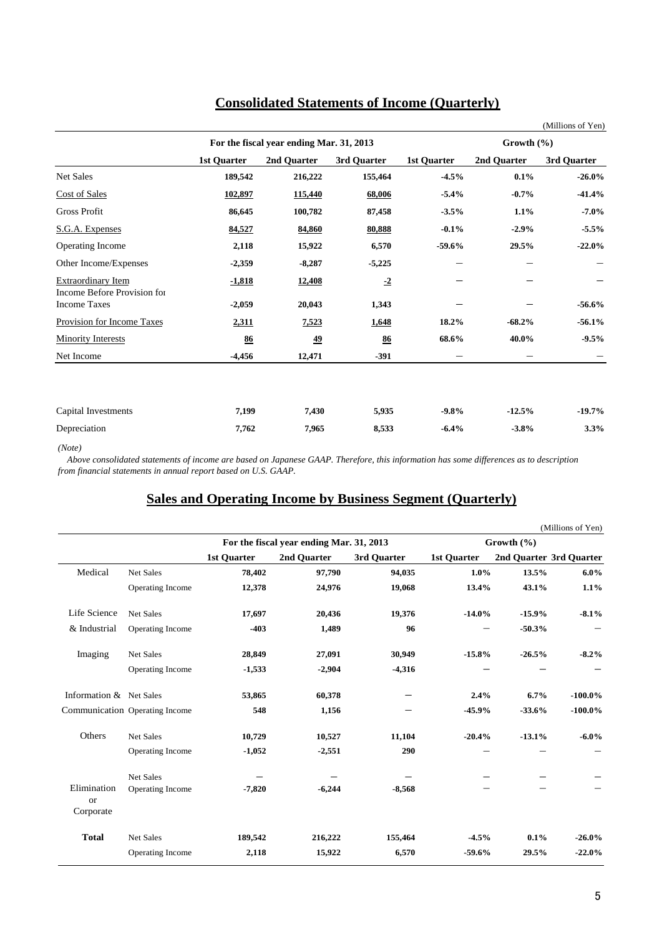|                                                    |                    |                                          |             |                    |                | (Millions of Yen) |  |
|----------------------------------------------------|--------------------|------------------------------------------|-------------|--------------------|----------------|-------------------|--|
|                                                    |                    | For the fiscal year ending Mar. 31, 2013 |             |                    | Growth $(\% )$ |                   |  |
|                                                    | <b>1st Quarter</b> | 2nd Quarter                              | 3rd Quarter | <b>1st Quarter</b> | 2nd Quarter    | 3rd Quarter       |  |
| Net Sales                                          | 189,542            | 216,222                                  | 155,464     | $-4.5%$            | 0.1%           | $-26.0\%$         |  |
| <b>Cost of Sales</b>                               | 102,897            | 115,440                                  | 68,006      | $-5.4%$            | $-0.7%$        | $-41.4%$          |  |
| <b>Gross Profit</b>                                | 86,645             | 100,782                                  | 87,458      | $-3.5%$            | 1.1%           | $-7.0\%$          |  |
| S.G.A. Expenses                                    | 84,527             | 84,860                                   | 80,888      | $-0.1%$            | $-2.9%$        | $-5.5%$           |  |
| Operating Income                                   | 2,118              | 15,922                                   | 6,570       | $-59.6%$           | 29.5%          | $-22.0%$          |  |
| Other Income/Expenses                              | $-2,359$           | $-8,287$                                 | $-5,225$    |                    |                |                   |  |
| <b>Extraordinary Item</b>                          | $-1,818$           | 12,408                                   | $-2$        |                    |                |                   |  |
| Income Before Provision for<br><b>Income Taxes</b> | $-2,059$           | 20,043                                   | 1,343       |                    |                | $-56.6%$          |  |
| Provision for Income Taxes                         | 2,311              | 7,523                                    | 1,648       | 18.2%              | $-68.2%$       | $-56.1%$          |  |
| <b>Minority Interests</b>                          | 86                 | 49                                       | 86          | 68.6%              | 40.0%          | $-9.5%$           |  |
| Net Income                                         | $-4,456$           | 12,471                                   | $-391$      |                    |                |                   |  |
|                                                    |                    |                                          |             |                    |                |                   |  |
| Capital Investments                                | 7,199              | 7,430                                    | 5,935       | $-9.8\%$           | $-12.5%$       | $-19.7\%$         |  |
| Depreciation                                       | 7,762              | 7,965                                    | 8,533       | $-6.4%$            | $-3.8%$        | 3.3%              |  |

### **Consolidated Statements of Income (Quarterly)**

 *Above consolidated statements of income are based on Japanese GAAP. Therefore, this information has some differences as to description from financial statements in annual report based on U.S. GAAP.*

### **Sales and Operating Income by Business Segment (Quarterly)**

|                                           |                                |                    |                                          |             |                    |                | (Millions of Yen)       |
|-------------------------------------------|--------------------------------|--------------------|------------------------------------------|-------------|--------------------|----------------|-------------------------|
|                                           |                                |                    | For the fiscal year ending Mar. 31, 2013 |             |                    | Growth $(\% )$ |                         |
|                                           |                                | <b>1st Quarter</b> | 2nd Quarter                              | 3rd Quarter | <b>1st Quarter</b> |                | 2nd Quarter 3rd Quarter |
| Medical                                   | <b>Net Sales</b>               | 78,402             | 97,790                                   | 94,035      | 1.0%               | 13.5%          | $6.0\%$                 |
|                                           | Operating Income               | 12,378             | 24,976                                   | 19,068      | 13.4%              | 43.1%          | 1.1%                    |
| Life Science                              | Net Sales                      | 17,697             | 20,436                                   | 19,376      | $-14.0%$           | $-15.9%$       | $-8.1%$                 |
| & Industrial                              | Operating Income               | $-403$             | 1,489                                    | 96          |                    | $-50.3%$       |                         |
| Imaging                                   | <b>Net Sales</b>               | 28,849             | 27,091                                   | 30,949      | $-15.8%$           | $-26.5%$       | $-8.2%$                 |
|                                           | Operating Income               | $-1,533$           | $-2,904$                                 | $-4,316$    |                    |                |                         |
| Information & Net Sales                   |                                | 53,865             | 60,378                                   |             | 2.4%               | 6.7%           | $-100.0\%$              |
|                                           | Communication Operating Income | 548                | 1,156                                    |             | $-45.9%$           | $-33.6%$       | $-100.0\%$              |
| Others                                    | <b>Net Sales</b>               | 10,729             | 10,527                                   | 11,104      | $-20.4%$           | $-13.1%$       | $-6.0\%$                |
|                                           | Operating Income               | $-1,052$           | $-2,551$                                 | 290         |                    |                |                         |
|                                           | <b>Net Sales</b>               |                    |                                          |             |                    |                |                         |
| Elimination<br><sub>or</sub><br>Corporate | Operating Income               | $-7,820$           | $-6,244$                                 | $-8,568$    |                    |                |                         |
| <b>Total</b>                              | Net Sales                      | 189,542            | 216,222                                  | 155,464     | $-4.5%$            | 0.1%           | $-26.0\%$               |
|                                           | Operating Income               | 2,118              | 15,922                                   | 6,570       | $-59.6%$           | 29.5%          | $-22.0%$                |

*<sup>(</sup>Note)*